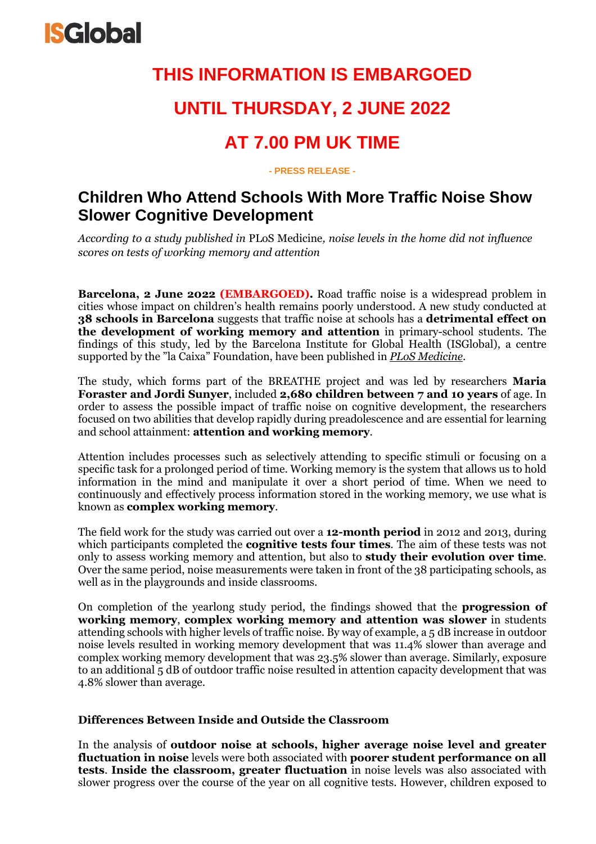

## **THIS INFORMATION IS EMBARGOED**

## **UNTIL THURSDAY, 2 JUNE 2022**

## **AT 7.00 PM UK TIME**

**- PRESS RELEASE -**

### **Children Who Attend Schools With More Traffic Noise Show Slower Cognitive Development**

*According to a study published in* PLoS Medicine*, noise levels in the home did not influence scores on tests of working memory and attention*

**Barcelona, 2 June 2022 (EMBARGOED).** Road traffic noise is a widespread problem in cities whose impact on children's health remains poorly understood. A new study conducted at **38 schools in Barcelona** suggests that traffic noise at schools has a **detrimental effect on the development of working memory and attention** in primary-school students. The findings of this study, led by the Barcelona Institute for Global Health (ISGlobal), a centre supported by the "la Caixa" Foundation, have been published in *PLoS [Medicine](https://journals.plos.org/plosmedicine/article?id=10.1371/journal.pmed.1004001)*.

The study, which forms part of the BREATHE project and was led by researchers **Maria Foraster and Jordi Sunyer**, included **2,680 children between 7 and 10 years** of age. In order to assess the possible impact of traffic noise on cognitive development, the researchers focused on two abilities that develop rapidly during preadolescence and are essential for learning and school attainment: **attention and working memory**.

Attention includes processes such as selectively attending to specific stimuli or focusing on a specific task for a prolonged period of time. Working memory is the system that allows us to hold information in the mind and manipulate it over a short period of time. When we need to continuously and effectively process information stored in the working memory, we use what is known as **complex working memory**.

The field work for the study was carried out over a **12-month period** in 2012 and 2013, during which participants completed the **cognitive tests four times**. The aim of these tests was not only to assess working memory and attention, but also to **study their evolution over time**. Over the same period, noise measurements were taken in front of the 38 participating schools, as well as in the playgrounds and inside classrooms.

On completion of the yearlong study period, the findings showed that the **progression of working memory**, **complex working memory and attention was slower** in students attending schools with higher levels of traffic noise. By way of example, a 5 dB increase in outdoor noise levels resulted in working memory development that was 11.4% slower than average and complex working memory development that was 23.5% slower than average. Similarly, exposure to an additional 5 dB of outdoor traffic noise resulted in attention capacity development that was 4.8% slower than average.

#### **Differences Between Inside and Outside the Classroom**

In the analysis of **outdoor noise at schools, higher average noise level and greater fluctuation in noise** levels were both associated with **poorer student performance on all tests**. **Inside the classroom, greater fluctuation** in noise levels was also associated with slower progress over the course of the year on all cognitive tests. However, children exposed to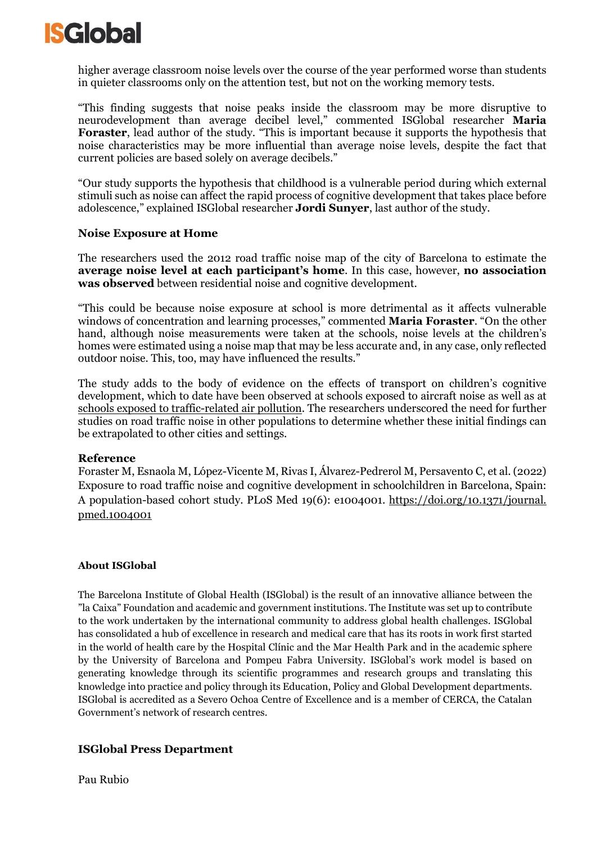

higher average classroom noise levels over the course of the year performed worse than students in quieter classrooms only on the attention test, but not on the working memory tests.

"This finding suggests that noise peaks inside the classroom may be more disruptive to neurodevelopment than average decibel level," commented ISGlobal researcher **Maria Foraster**, lead author of the study. "This is important because it supports the hypothesis that noise characteristics may be more influential than average noise levels, despite the fact that current policies are based solely on average decibels."

"Our study supports the hypothesis that childhood is a vulnerable period during which external stimuli such as noise can affect the rapid process of cognitive development that takes place before adolescence," explained ISGlobal researcher **Jordi Sunyer**, last author of the study.

#### **Noise Exposure at Home**

The researchers used the 2012 road traffic noise map of the city of Barcelona to estimate the **average noise level at each participant's home**. In this case, however, **no association was observed** between residential noise and cognitive development.

"This could be because noise exposure at school is more detrimental as it affects vulnerable windows of concentration and learning processes," commented **Maria Foraster**. "On the other hand, although noise measurements were taken at the schools, noise levels at the children's homes were estimated using a noise map that may be less accurate and, in any case, only reflected outdoor noise. This, too, may have influenced the results."

The study adds to the body of evidence on the effects of transport on children's cognitive development, which to date have been observed at schools exposed to aircraft noise as well as at schools exposed to [traffic-related](https://www.isglobal.org/en/-/children-who-attend-schools-nearby-traffic-show-a-lower-cognitive-development) air pollution. The researchers underscored the need for further studies on road traffic noise in other populations to determine whether these initial findings can be extrapolated to other cities and settings.

#### **Reference**

Foraster M, Esnaola M, López-Vicente M, Rivas I, Álvarez-Pedrerol M, Persavento C, et al. (2022) Exposure to road traffic noise and cognitive development in schoolchildren in Barcelona, Spain: A population-based cohort study. PLoS Med 19(6): e1004001. [https://doi.org/10.1371/journal.](https://doi.org/10.1371/journal.%20pmed.1004001) [pmed.1004001](https://doi.org/10.1371/journal.%20pmed.1004001) 

#### **About ISGlobal**

The Barcelona Institute of Global Health (ISGlobal) is the result of an innovative alliance between the "la Caixa" Foundation and academic and government institutions. The Institute was set up to contribute to the work undertaken by the international community to address global health challenges. ISGlobal has consolidated a hub of excellence in research and medical care that has its roots in work first started in the world of health care by the Hospital Clínic and the Mar Health Park and in the academic sphere by the University of Barcelona and Pompeu Fabra University. ISGlobal's work model is based on generating knowledge through its scientific programmes and research groups and translating this knowledge into practice and policy through its Education, Policy and Global Development departments. ISGlobal is accredited as a Severo Ochoa Centre of Excellence and is a member of CERCA, the Catalan Government's network of research centres.

#### **ISGlobal Press Department**

Pau Rubio